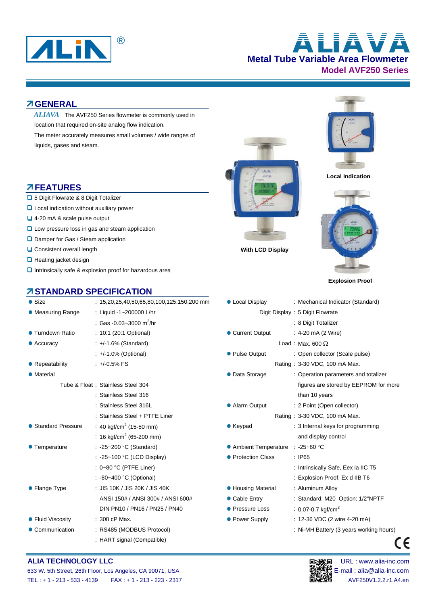

**Metal Tube Variable Area Flowmeter Model AVF250 Series** ® **ALIAVA**

#### **GENERAL**

location that required on-site analog flow indication. *ALIAVA* The AVF250 Series flowmeter is commonly used in

The meter accurately measures small volumes / wide ranges of liquids, gases and steam.

### **FEATURES**

- 5 Digit Flowrate & 8 Digit Totalizer
- **Q** Local indication without auxiliary power
- 4-20 mA & scale pulse output
- **L** Low pressure loss in gas and steam application
- **□** Damper for Gas / Steam application
- **Consistent overall length** With LCD Display
- $\Box$  Heating jacket design
- $\Box$  Intrinsically safe & explosion proof for hazardous area

### **STANDARD SPECIFICATION**

| $\bullet$ Size      | $: 15,20,25,40,50,65,80,100,125,150,200$ mm | • Local Display       | : Mechanical Indicator (Standard)    |
|---------------------|---------------------------------------------|-----------------------|--------------------------------------|
| • Measuring Range   | : Liquid -1~200000 L/hr                     |                       | Digit Display: 5 Digit Flowrate      |
|                     | : Gas -0.03~3000 m <sup>3</sup> /hr         |                       | : 8 Digit Totalizer                  |
| ● Turndown Ratio    | : 10:1 (20:1 Optional)                      | • Current Output      | : 4-20 $mA$ (2 Wire)                 |
| $\bullet$ Accuracy  | $\div$ +/-1.6% (Standard)                   |                       | Load: Max. 600 $\Omega$              |
|                     | $\div$ +/-1.0% (Optional)                   | • Pulse Output        | : Open collector (Scale pulse)       |
| • Repeatability     | $: +0.5\%$ FS                               |                       | Rating: 3-30 VDC, 100 mA Max.        |
| • Material          |                                             | • Data Storage        | : Operation parameters and totalizer |
|                     | Tube & Float: Stainless Steel 304           |                       | figures are stored by EEPROM for     |
|                     | : Stainless Steel 316                       |                       | than 10 years                        |
|                     | : Stainless Steel 316L                      | • Alarm Output        | : 2 Point (Open collector)           |
|                     | : Stainless Steel + PTFE Liner              |                       | Rating: 3-30 VDC, 100 mA Max.        |
| • Standard Pressure | : 40 kgf/cm <sup>2</sup> (15-50 mm)         | $\bullet$ Keypad      | : 3 Internal keys for programming    |
|                     | : 16 kgf/cm <sup>2</sup> (65-200 mm)        |                       | and display control                  |
| • Temperature       | : -25~200 °C (Standard)                     | • Ambient Temperature | $: -25 - 60$ °C                      |
|                     | : -25~100 °C (LCD Display)                  | • Protection Class    | : IP65                               |
|                     | : $0~80$ °C (PTFE Liner)                    |                       | : Intrinsically Safe, Eex ia IIC T5  |
|                     | : -80~400 °C (Optional)                     |                       | : Explosion Proof, Ex d IIB T6       |
| • Flange Type       | : JIS 10K / JIS 20K / JIS 40K               | • Housing Material    | : Aluminum Alloy                     |
|                     | ANSI 150# / ANSI 300# / ANSI 600#           | • Cable Entry         | : Standard: M20 Option: 1/2"NPTF     |
|                     | DIN PN10 / PN16 / PN25 / PN40               | • Pressure Loss       | : 0.07-0.7 kgf/cm <sup>2</sup>       |
| • Fluid Viscosity   | : 300 cP Max.                               | • Power Supply        | : 12-36 VDC (2 wire 4-20 mA)         |
| • Communication     | : RS485 (MODBUS Protocol)                   |                       | : Ni-MH Battery (3 years working ho  |
|                     | : HART signal (Compatible)                  |                       |                                      |





 **Local Indication**



 **Explosion Proof** 

| Size                     | : $15,20,25,40,50,65,80,100,125,150,200$ mm      | • Local Display                   | : Mechanical Indicator (Standard)       |
|--------------------------|--------------------------------------------------|-----------------------------------|-----------------------------------------|
| Measuring Range          | : Liquid -1~200000 L/hr                          |                                   | Digit Display: 5 Digit Flowrate         |
|                          | : Gas -0.03~3000 m <sup>3</sup> /hr              |                                   | : 8 Digit Totalizer                     |
| Turndown Ratio           | : 10:1 (20:1 Optional)                           | • Current Output                  | : 4-20 mA (2 Wire)                      |
| Accuracy                 | $\div$ +/-1.6% (Standard)                        |                                   | Load: Max. 600 $\Omega$                 |
|                          | $\div$ +/-1.0% (Optional)                        | • Pulse Output                    | : Open collector (Scale pulse)          |
| Repeatability            | $: +/0.5\%$ FS                                   |                                   | Rating: 3-30 VDC, 100 mA Max.           |
| Material                 |                                                  | • Data Storage                    | : Operation parameters and totalizer    |
|                          | Tube & Float: Stainless Steel 304                |                                   | figures are stored by EEPROM for more   |
|                          | : Stainless Steel 316                            |                                   | than 10 years                           |
|                          | : Stainless Steel 316L                           | • Alarm Output                    | : 2 Point (Open collector)              |
|                          | : Stainless Steel + PTFE Liner                   |                                   | Rating: 3-30 VDC, 100 mA Max.           |
| <b>Standard Pressure</b> | : 40 kgf/cm <sup>2</sup> (15-50 mm)              | $\bullet$ Keypad                  | : 3 Internal keys for programming       |
|                          | : 16 kgf/cm <sup>2</sup> (65-200 mm)             |                                   | and display control                     |
| Temperature              | : -25~200 °C (Standard)                          | ● Ambient Temperature : -25~60 °C |                                         |
|                          | : -25~100 °C (LCD Display)                       | • Protection Class                | $:$ IP65                                |
|                          | : $0~80$ °C (PTFE Liner)                         |                                   | : Intrinsically Safe, Eex ia IIC T5     |
|                          | : $-80-400$ °C (Optional)                        |                                   | : Explosion Proof, Ex d IIB T6          |
| Flange Type              | : JIS 10K / JIS 20K / JIS 40K                    | • Housing Material                | : Aluminum Alloy                        |
|                          | ANSI 150# / ANSI 300# / ANSI 600#                | • Cable Entry                     | : Standard: M20 Option: 1/2"NPTF        |
|                          | DIN PN10 / PN16 / PN25 / PN40<br>• Pressure Loss |                                   | : 0.07-0.7 kgf/cm <sup>2</sup>          |
| <b>Fluid Viscosity</b>   | $: 300$ cP Max.                                  | • Power Supply                    | : 12-36 VDC (2 wire 4-20 mA)            |
| Communication            | : RS485 (MODBUS Protocol)                        |                                   | : Ni-MH Battery (3 years working hours) |

#### **ALIA TECHNOLOGY LLC DEVICED AND RESOLUTION OF THE URL IN SECTION OF THE URL : www.alia-inc.com**



 $C \in$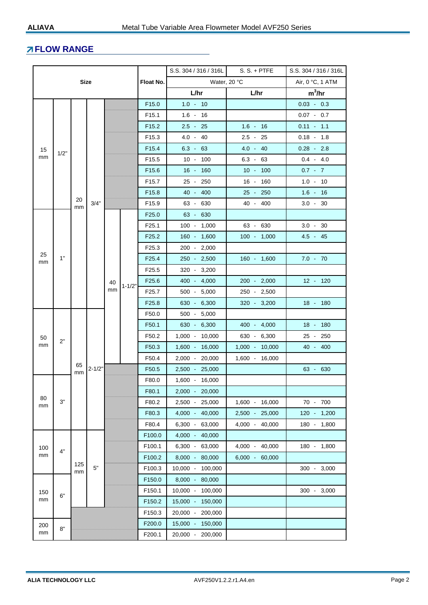## **FLOW RANGE**

|             |                  |          |            | S.S. 304 / 316 / 316L | $S. S. + PTFE$ | S.S. 304 / 316 / 316L |                   |                  |                  |                |                  |                |          |                   |  |                |                  |          |
|-------------|------------------|----------|------------|-----------------------|----------------|-----------------------|-------------------|------------------|------------------|----------------|------------------|----------------|----------|-------------------|--|----------------|------------------|----------|
| <b>Size</b> |                  |          | Float No.  | Water, 20 °C          |                |                       | Air, 0 °C, 1 ATM  |                  |                  |                |                  |                |          |                   |  |                |                  |          |
|             |                  |          |            |                       |                |                       | L/hr              |                  | L/hr             | $m^3/hr$       |                  |                |          |                   |  |                |                  |          |
|             |                  |          |            |                       |                | F <sub>15.0</sub>     | $1.0 - 10$        |                  |                  | $0.03 - 0.3$   |                  |                |          |                   |  |                |                  |          |
|             | 15<br>1/2"<br>mm |          |            |                       |                | F <sub>15.1</sub>     | $1.6 - 16$        |                  |                  | $0.07 - 0.7$   |                  |                |          |                   |  |                |                  |          |
|             |                  |          |            |                       |                | F <sub>15.2</sub>     | $2.5 - 25$        |                  | $1.6 - 16$       | $0.11 - 1.1$   |                  |                |          |                   |  |                |                  |          |
|             |                  |          |            |                       |                | F <sub>15.3</sub>     | $4.0 - 40$        |                  | $2.5 - 25$       | $0.18 - 1.8$   |                  |                |          |                   |  |                |                  |          |
|             |                  |          |            |                       |                | F <sub>15.4</sub>     | $6.3 - 63$        |                  | $4.0 - 40$       | $0.28 - 2.8$   |                  |                |          |                   |  |                |                  |          |
|             |                  |          |            |                       |                | F <sub>15.5</sub>     |                   | $10 - 100$       | $6.3 - 63$       | $0.4 - 4.0$    |                  |                |          |                   |  |                |                  |          |
|             |                  |          |            |                       |                | F <sub>15.6</sub>     |                   | $16 - 160$       | $10 - 100$       | $0.7 - 7$      |                  |                |          |                   |  |                |                  |          |
|             |                  |          |            |                       |                | F <sub>15.7</sub>     |                   | 25 - 250         | 16 - 160         | $1.0 - 10$     |                  |                |          |                   |  |                |                  |          |
|             |                  |          |            |                       |                | F <sub>15.8</sub>     |                   | 40 - 400         | 25 - 250         | $1.6 - 16$     |                  |                |          |                   |  |                |                  |          |
|             |                  | 20<br>mm | 3/4"       |                       |                | F <sub>15.9</sub>     |                   | 63 - 630         | 40 - 400         | $3.0 - 30$     |                  |                |          |                   |  |                |                  |          |
|             |                  |          |            |                       |                | F <sub>25.0</sub>     |                   | 63 - 630         |                  |                |                  |                |          |                   |  |                |                  |          |
|             |                  |          |            |                       |                | F <sub>25.1</sub>     |                   | $100 - 1,000$    | 63 - 630         | $3.0 - 30$     |                  |                |          |                   |  |                |                  |          |
|             |                  |          |            |                       |                | F <sub>25.2</sub>     |                   | 160 - 1,600      | $100 - 1,000$    | $4.5 - 45$     |                  |                |          |                   |  |                |                  |          |
|             |                  |          |            |                       |                | F <sub>25.3</sub>     |                   | $200 - 2,000$    |                  |                |                  |                |          |                   |  |                |                  |          |
| mm          | 25<br>1"         |          |            |                       |                |                       | F <sub>25.4</sub> |                  | $250 - 2,500$    | $160 - 1,600$  | $7.0 - 70$       |                |          |                   |  |                |                  |          |
|             |                  |          |            |                       |                | F <sub>25.5</sub>     |                   | 320 - 3,200      |                  |                |                  |                |          |                   |  |                |                  |          |
|             |                  |          |            | 40                    | $1 - 1/2"$     | F <sub>25.6</sub>     |                   | $400 - 4,000$    | $200 - 2,000$    | 12 - 120       |                  |                |          |                   |  |                |                  |          |
|             |                  |          |            | mm                    |                | F <sub>25.7</sub>     |                   | $500 - 5,000$    | 250 - 2,500      |                |                  |                |          |                   |  |                |                  |          |
|             |                  |          |            |                       |                | F <sub>25.8</sub>     |                   | 630 - 6,300      | $320 - 3,200$    | 18 - 180       |                  |                |          |                   |  |                |                  |          |
|             |                  |          | $2 - 1/2"$ |                       |                |                       | F50.0             |                  | $500 - 5,000$    |                |                  |                |          |                   |  |                |                  |          |
|             |                  |          |            |                       |                |                       |                   | F50.1            |                  | 630 - 6,300    | 400 - 4,000      | 18 - 180       |          |                   |  |                |                  |          |
| 50          | 2"               |          |            |                       |                |                       |                   |                  | F50.2            |                | $1,000 - 10,000$ | $630 - 6,300$  | 25 - 250 |                   |  |                |                  |          |
| mm          |                  |          |            |                       |                |                       |                   |                  |                  |                |                  |                |          | F <sub>50.3</sub> |  | 1,600 - 16,000 | $1,000 - 10,000$ | 40 - 400 |
|             |                  | 65       |            |                       |                |                       |                   |                  | F50.4            |                | 2,000 - 20,000   | 1,600 - 16,000 |          |                   |  |                |                  |          |
|             |                  | mm       |            |                       |                |                       | F50.5             |                  | 2,500 - 25,000   |                | 63 - 630         |                |          |                   |  |                |                  |          |
|             |                  |          |            |                       |                | F80.0                 |                   | 1,600 - 16,000   |                  |                |                  |                |          |                   |  |                |                  |          |
| 80          |                  |          |            |                       |                | F80.1                 |                   | 2,000 - 20,000   |                  |                |                  |                |          |                   |  |                |                  |          |
| mm          | 3"               |          |            |                       |                |                       |                   | F80.2            |                  | 2,500 - 25,000 | 1,600 - 16,000   | 70 - 700       |          |                   |  |                |                  |          |
|             |                  |          |            |                       |                | F80.3                 |                   | 4,000 - 40,000   | 2,500 - 25,000   | 120 - 1,200    |                  |                |          |                   |  |                |                  |          |
|             |                  |          |            |                       |                | F80.4                 |                   | 6,300 - 63,000   | 4,000 - 40,000   | 180 - 1,800    |                  |                |          |                   |  |                |                  |          |
|             |                  |          |            |                       |                | F100.0                |                   | 4,000 - 40,000   |                  |                |                  |                |          |                   |  |                |                  |          |
| 100         | 4"               |          |            |                       |                | F100.1                |                   | 6,300 - 63,000   | 4,000 - 40,000   | 180 - 1,800    |                  |                |          |                   |  |                |                  |          |
| mm          |                  | 125      |            |                       |                | F100.2                |                   | 8,000 - 80,000   | $6,000 - 60,000$ |                |                  |                |          |                   |  |                |                  |          |
|             |                  | mm       | 5"         |                       |                | F100.3                |                   | 10,000 - 100,000 |                  | 300 - 3,000    |                  |                |          |                   |  |                |                  |          |
|             |                  |          |            |                       |                | F150.0                |                   | 8,000 - 80,000   |                  |                |                  |                |          |                   |  |                |                  |          |
| 150         | 6"               |          |            |                       |                | F150.1                |                   | 10,000 - 100,000 |                  | 300 - 3,000    |                  |                |          |                   |  |                |                  |          |
| mm          |                  |          |            |                       |                | F150.2                |                   | 15,000 - 150,000 |                  |                |                  |                |          |                   |  |                |                  |          |
|             |                  |          |            |                       |                | F150.3                |                   | 20,000 - 200,000 |                  |                |                  |                |          |                   |  |                |                  |          |
| 200         | 8"               |          |            |                       |                | F200.0                |                   | 15,000 - 150,000 |                  |                |                  |                |          |                   |  |                |                  |          |
| mm          |                  |          |            |                       | F200.1         |                       | 20,000 - 200,000  |                  |                  |                |                  |                |          |                   |  |                |                  |          |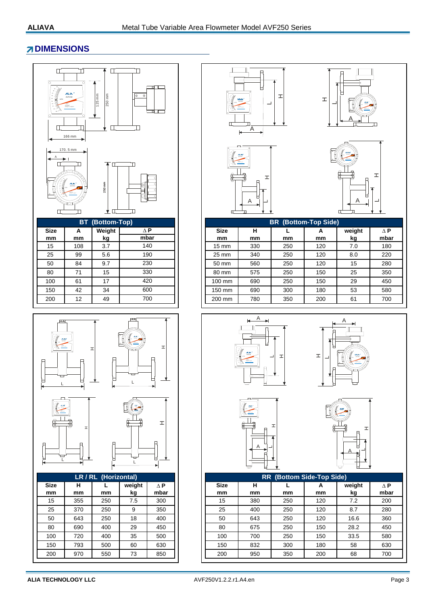## **ZDIMENSIONS**





| LR / RL (Horizontal) |         |                            |     |     |  |  |  |  |  |
|----------------------|---------|----------------------------|-----|-----|--|--|--|--|--|
| <b>Size</b><br>mm    | н<br>mm | weight<br>mbar<br>kg<br>mm |     |     |  |  |  |  |  |
| 15                   | 355     | 250                        | 7.5 | 300 |  |  |  |  |  |
| 25                   | 370     | 250                        | 9   | 350 |  |  |  |  |  |
| 50                   | 643     | 250                        | 18  | 400 |  |  |  |  |  |
| 80                   | 690     | 400                        | 29  | 450 |  |  |  |  |  |
| 100                  | 720     | 400                        | 35  | 500 |  |  |  |  |  |
| 150                  | 793     | 500                        | 60  | 630 |  |  |  |  |  |
| 200                  | 970     | 550                        | 73  | 850 |  |  |  |  |  |











|             |     | <b>BT</b> (Bottom-Top) |      | <b>BR</b> (Bottom-Top Side) |     |     |     |        |      |  |
|-------------|-----|------------------------|------|-----------------------------|-----|-----|-----|--------|------|--|
| <b>Size</b> | A   | Weight                 | ΔP   | <b>Size</b>                 | н   |     | А   | weight | ΛP   |  |
| mm          | mm  | kg                     | mbar | mm                          | mm  | mm  | mm  | kg     | mbar |  |
| 15          | 108 | 3.7                    | 140  | $15 \text{ mm}$             | 330 | 250 | 120 | 7.0    | 180  |  |
| 25          | 99  | 5.6                    | 190  | 25 mm                       | 340 | 250 | 120 | 8.0    | 220  |  |
| 50          | 84  | 9.7                    | 230  | 50 mm                       | 560 | 250 | 120 | 15     | 280  |  |
| 80          | 71  | 15                     | 330  | 80 mm                       | 575 | 250 | 150 | 25     | 350  |  |
| 100         | 61  | 17                     | 420  | 100 mm                      | 690 | 250 | 150 | 29     | 450  |  |
| 150         | 42  | 34                     | 600  | 150 mm                      | 690 | 300 | 180 | 53     | 580  |  |
| 200         | 12  | 49                     | 700  | 200 mm                      | 780 | 350 | 200 | 61     | 700  |  |
|             |     |                        |      |                             |     |     |     |        |      |  |









| LR / RL (Horizontal) |         |     |              |                    | <b>RR</b> (Bottom Side-Top Side) |         |     |         |              |                    |
|----------------------|---------|-----|--------------|--------------------|----------------------------------|---------|-----|---------|--------------|--------------------|
| <b>Size</b><br>mm    | н<br>mm | mm  | weight<br>kg | $\Delta$ P<br>mbar | <b>Size</b><br>mm                | н<br>mm | mm  | А<br>mm | weight<br>kg | $\Delta$ P<br>mbar |
| 15                   | 355     | 250 | 7.5          | 300                | 15                               | 380     | 250 | 120     | 7.2          | 200                |
| 25                   | 370     | 250 | 9            | 350                | 25                               | 400     | 250 | 120     | 8.7          | 280                |
| 50                   | 643     | 250 | 18           | 400                | 50                               | 643     | 250 | 120     | 16.6         | 360                |
| 80                   | 690     | 400 | 29           | 450                | 80                               | 675     | 250 | 150     | 28.2         | 450                |
| 100                  | 720     | 400 | 35           | 500                | 100                              | 700     | 250 | 150     | 33.5         | 580                |
| 150                  | 793     | 500 | 60           | 630                | 150                              | 832     | 300 | 180     | 58           | 630                |
| 200                  | 970     | 550 | 73           | 850                | 200                              | 950     | 350 | 200     | 68           | 700                |